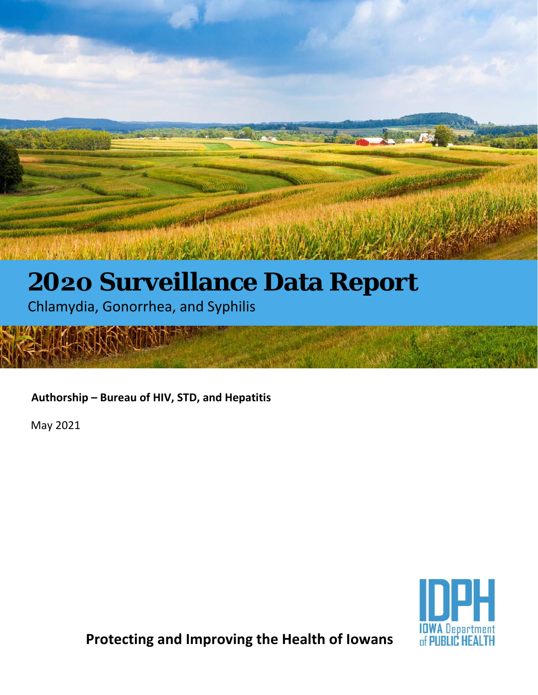## **2020 Surveillance Data Report**

Chlamydia, Gonorrhea, and Syphilis

**Authorship – Bureau of HIV, STD, and Hepatitis** 

May 2021



**Protecting and Improving the Health of Iowans**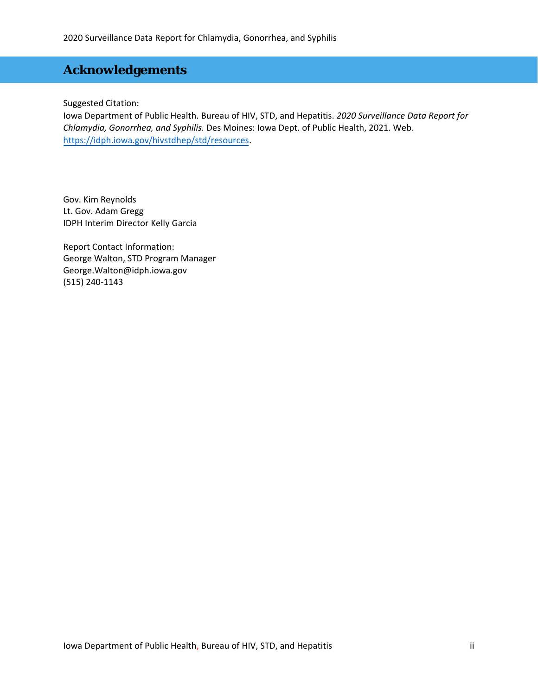## **Acknowledgements**

Suggested Citation:

Iowa Department of Public Health. Bureau of HIV, STD, and Hepatitis. *2020 Surveillance Data Report for Chlamydia, Gonorrhea, and Syphilis.* Des Moines: Iowa Dept. of Public Health, 2021. Web. https://idph.iowa.gov/hivstdhep/std/resources.

Gov. Kim Reynolds Lt. Gov. Adam Gregg IDPH Interim Director Kelly Garcia

Report Contact Information: George Walton, STD Program Manager George.Walton@idph.iowa.gov (515) 240-1143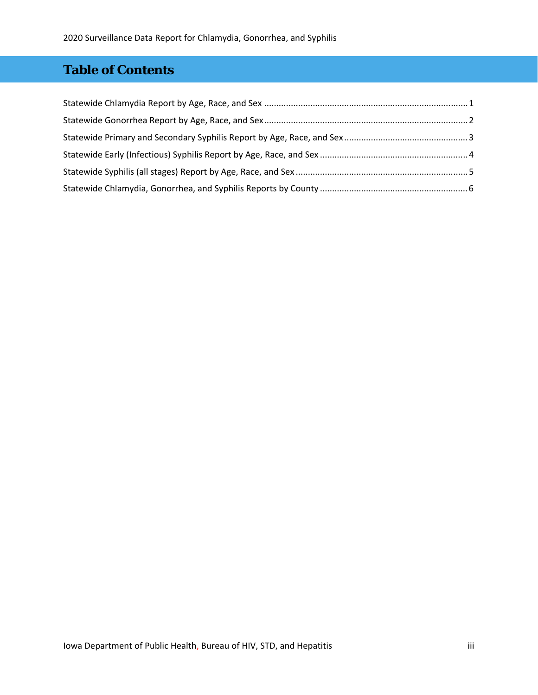## **Table of Contents**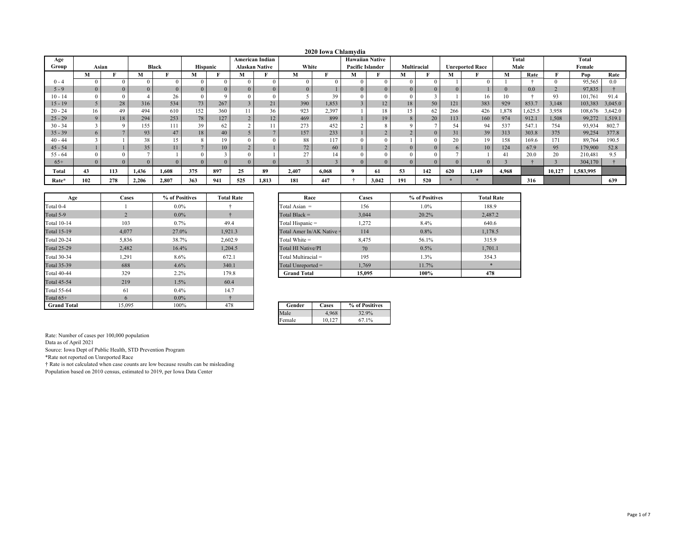|           |                |     |          |                 |                 |     |                |                        |       | 2020 Iowa Chlamydia |                         |       |             |              |     |                        |          |        |        |           |         |
|-----------|----------------|-----|----------|-----------------|-----------------|-----|----------------|------------------------|-------|---------------------|-------------------------|-------|-------------|--------------|-----|------------------------|----------|--------|--------|-----------|---------|
| Age       |                |     |          |                 |                 |     |                | <b>American Indian</b> |       |                     | <b>Hawaiian Native</b>  |       |             |              |     |                        | Total    |        |        | Total     |         |
| Group     | Asian          |     |          | Black           | <b>Hispanic</b> |     |                | <b>Alaskan Native</b>  | White |                     | <b>Pacific Islander</b> |       | Multiracial |              |     | <b>Unreported Race</b> | Male     |        |        | Female    |         |
|           | M              |     | М        |                 | M               | m   | М              |                        | М     | F                   | М                       |       | М           |              | М   |                        | M        | Rate   |        | Pop       | Rate    |
| $(0 - 4)$ | $\theta$       |     |          |                 |                 |     |                | $\Omega$               |       | $\Omega$            |                         |       |             | $\Omega$     |     |                        |          |        |        | 95,565    | 0.0     |
| $5 - 9$   | $\overline{0}$ |     | $\Omega$ |                 | $\theta$        |     |                | $\mathbf{0}$           |       |                     |                         |       |             | $\Omega$     |     |                        | $\Omega$ | 0.0    |        | 97,835    |         |
| $10 - 14$ | $\theta$       |     |          | 26              |                 |     |                |                        |       | 39                  |                         |       |             |              |     | 16                     | 10       |        | 93     | 101,761   | 91.4    |
| $15 - 19$ |                | 28  | 316      | 534             | 73              | 267 |                | 21                     | 390   | 1,853               |                         | 12    | 18          | 50           | 121 | 383                    | 929      | 853.7  | 3,148  | 103,383   | 3,045.0 |
| $20 - 24$ | 16             | 49  | 494      | 610             | 152             | 360 |                | 36                     | 923   | 2,397               |                         | 18    | 15          | 62           | 266 | 426                    | 1,878    | .625.5 | 3,958  | 108,676   | 3,642.0 |
| $25 - 29$ | 9              | 18  | 294      | 253             | 78              | 127 | $\overline{2}$ | 12                     | 469   | 899                 |                         | 19    | 8           | 20           | 113 | 160                    | 974      | 912.1  | 1,508  | 99,272    | 1,519.1 |
| $30 - 34$ | $\sim$         |     | 155      | 111             | 39              | 62  | $\sim$         | 11                     | 273   | 452                 |                         |       |             |              | 54  | 94                     | 537      | 547.1  | 754    | 93,934    | 802.7   |
| $35 - 39$ | $\sigma$       |     | 93       | 47              | 18              | 40  |                | $\overline{ }$         | 157   | 233                 |                         |       |             | $\mathbf{0}$ | 31  | 39                     | 313      | 303.8  | 375    | 99,254    | 377.8   |
| $40 - 44$ |                |     | 38       | 15              |                 | 19  |                |                        | 88    | 117                 |                         |       |             | $\theta$     | 20  | 19                     | 158      | 169.6  | 171    | 89,764    | 190.5   |
| $45 - 54$ |                |     | 35       | $\overline{11}$ |                 | 10  | $\overline{2}$ |                        | 72    | 60                  |                         |       |             | $\mathbf{0}$ |     | 10                     | 124      | 67.9   | 95     | 179,900   | 52.8    |
| $55 - 64$ | $\theta$       |     |          |                 |                 |     |                |                        | 27    |                     |                         |       |             |              |     |                        | 41       | 20.0   | 20     | 210,481   | 9.5     |
| $65+$     | $\Omega$       |     |          |                 |                 |     |                | $\Omega$               |       |                     |                         |       |             |              |     |                        |          |        |        | 304,170   |         |
| Total     | 43             | 113 | 1,436    | 1.608           | 375             | 897 | 25             | 89                     | 2,407 | 6,068               |                         | 61    | 53          | 142          | 620 | 1,149                  | 4,968    |        | 10,127 | 1,583,995 |         |
| Rate*     | 102            | 278 | 2,206    | 2,807           | 363             | 941 | 525            | 1,813                  | 181   | 447                 |                         | 3,042 | 191         | 520          |     |                        |          | 316    |        |           | 639     |

| Age                | <b>Cases</b>   | % of Positives | <b>Total Rate</b> | Race                      | Cases          |
|--------------------|----------------|----------------|-------------------|---------------------------|----------------|
| Total 0-4          |                | $0.0\%$        |                   | Total Asian $=$           | 156            |
| Total 5-9          | $\overline{2}$ | $0.0\%$        |                   | Total Black $=$           | 3.044          |
| <b>Total 10-14</b> | 103            | 0.7%           | 49.4              | Total Hispanic =          | 1,272          |
| <b>Total 15-19</b> | 4.077          | 27.0%          | 1,921.3           | Total Amer In/AK Native = | 114            |
| <b>Total 20-24</b> | 5,836          | 38.7%          | 2.602.9           | Total White $=$           | 8.475          |
| <b>Total 25-29</b> | 2,482          | 16.4%          | 1,204.5           | <b>Total HI Native/PI</b> | 70             |
| <b>Total 30-34</b> | 1,291          | 8.6%           | 672.1             | Total Multiracial =       | 195            |
| <b>Total 35-39</b> | 688            | 4.6%           | 340.1             | Total Unreported $=$      | 1.769          |
| <b>Total 40-44</b> | 329            | 2.2%           | 179.8             | <b>Grand Total</b>        | 15,095         |
| <b>Total 45-54</b> | 219            | 1.5%           | 60.4              |                           |                |
| <b>Total 55-64</b> | 61             | 0.4%           | 14.7              |                           |                |
| Total $65+$        | 6              | $0.0\%$        |                   |                           |                |
| <b>Grand Total</b> | 15,095         | 100%           | 478               | Gender<br>Cases           | % of Positives |

| Age | Cases | % of Positives | <b>Total Rate</b> | Race                      | <b>Cases</b> | % of Positives | <b>Total Rate</b> |
|-----|-------|----------------|-------------------|---------------------------|--------------|----------------|-------------------|
|     |       | $0.0\%$        |                   | Total Asian $=$           | 156          | 1.0%           | 188.9             |
|     |       | $0.0\%$        |                   | Total Black $=$           | 3,044        | 20.2%          | 2,487.2           |
| 4   | 103   | 0.7%           | 49.4              | Total Hispanic =          | 1,272        | 8.4%           | 640.6             |
| 9   | 4,077 | 27.0%          | 1,921.3           | Total Amer In/AK Native = | 114          | 0.8%           | 1,178.5           |
|     | 5,836 | 38.7%          | 2,602.9           | Total White $=$           | 8,475        | 56.1%          | 315.9             |
| 9   | 2.482 | 16.4%          | 1.204.5           | Total HI Native/PI        | 70           | 0.5%           | 1,701.1           |
|     | 1,291 | 8.6%           | 672.1             | Total Multiracial $=$     | 195          | 1.3%           | 354.3             |
| 9   | 688   | 4.6%           | 340.1             | Total Unreported $=$      | 1,769        | 11.7%          |                   |
|     | 329   | 2.2%           | 179.8             | <b>Grand Total</b>        | 15,095       | 100%           | 478               |

| Gender | ases   | % of Positives |
|--------|--------|----------------|
|        | 4.968  | 32.9%          |
| Female | 10.127 | 67 1%          |

Data as of April 2021

Source: Iowa Dept of Public Health, STD Prevention Program

\*Rate not reported on Unreported Race

† Rate is not calculated when case counts are low because results can be misleading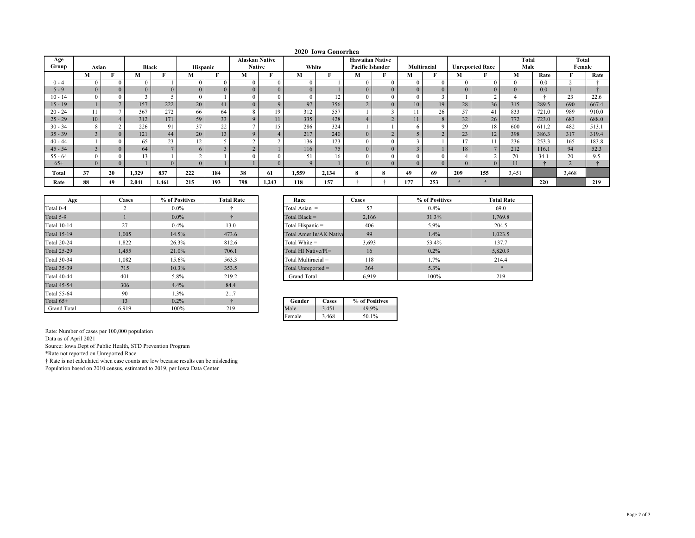|           |                |    |          |                |                 |                |                       |          |       | 2020 Iowa Gonorrhea |                         |                |                |             |                |                        |                |       |              |       |
|-----------|----------------|----|----------|----------------|-----------------|----------------|-----------------------|----------|-------|---------------------|-------------------------|----------------|----------------|-------------|----------------|------------------------|----------------|-------|--------------|-------|
| Age       |                |    |          |                |                 |                | <b>Alaskan Native</b> |          |       |                     | <b>Hawaiian Native</b>  |                |                |             |                |                        | Total          |       | <b>Total</b> |       |
| Group     | Asian          |    | Black    |                | <b>Hispanic</b> |                | <b>Native</b>         |          | White |                     | <b>Pacific Islander</b> |                |                | Multiracial |                | <b>Unreported Race</b> | Male           |       | Female       |       |
|           | M              |    | М        |                | м               |                | М                     |          | М     |                     | M                       |                | M              |             | М              |                        | М              | Rate  | m            | Rate  |
| $0 - 4$   |                |    | $\Omega$ |                |                 | $\Omega$       | $\Omega$              | $\Omega$ |       |                     | $\Omega$                | $\sqrt{ }$     | $\Omega$       |             | $\Omega$       |                        | $\theta$       | 0.0   | $\sim$       |       |
| $5 - 9$   |                |    | $\Omega$ | $\Omega$       | $\Omega$        | $\overline{0}$ | $\Omega$              | $\Omega$ |       |                     | $\Omega$                | $\overline{0}$ |                | $\Omega$    |                |                        | $\overline{0}$ | 0.0   |              |       |
| $10 - 14$ |                |    |          |                |                 |                |                       |          |       | 12                  |                         |                |                |             |                |                        |                |       | 23           | 22.6  |
| $15 - 19$ |                |    | 157      | 222            | 20              | 41             | $\Omega$              | Q        | 97    | 356                 |                         | $\overline{0}$ | 10             | 19          | 28             | 36                     | 315            | 289.5 | 690          | 667.4 |
| $20 - 24$ | 11             |    | 367      | 272            | 66              | 64             |                       | 19       | 312   | 557                 |                         |                |                | 26          | 57             | 41                     | 833            | 721.0 | 989          | 910.0 |
| $25 - 29$ | 10             |    | 312      | 171            | 59              | 33             |                       |          | 335   | 428                 |                         | $\sim$         | 11             |             | 32             | 26                     | 772            | 723.0 | 683          | 688.0 |
| $30 - 34$ | 8              |    | 226      | 91             | 37              | 22             |                       | 15       | 286   | 324                 |                         |                |                | $\Omega$    | 29             | 18                     | 600            | 611.2 | 482          | 513.1 |
| $35 - 39$ | $\overline{3}$ |    | 121      | 44             | 20              | 13             |                       |          | 217   | 240                 | $\Omega$                | $\sim$<br>∠    |                |             | 23             | 12                     | 398            | 386.3 | 317          | 319.4 |
| $40 - 44$ |                |    | 65       | 23             | 12              |                |                       |          | 136   | 123                 |                         |                |                |             | 1 <sub>7</sub> |                        | 236            | 253.3 | 165          | 183.8 |
| $45 - 54$ | 3              |    | 64       | $\overline{ }$ | 6               |                |                       |          | 116   | 75                  | $\Omega$                | $\overline{0}$ | $\overline{3}$ |             | 18             |                        | 212            | 116.1 | 94           | 52.3  |
| $55 - 64$ |                |    | 13       |                | $\sim$          |                |                       |          |       | 16                  |                         | $\theta$       |                |             |                |                        | 70             | 34.1  | 20           | 9.5   |
| $65+$     |                |    |          | $\theta$       |                 |                |                       |          |       |                     | $\Omega$                | $\Omega$       |                | $\Omega$    |                |                        | 11             |       |              |       |
| Total     | 37             | 20 | 1,329    | 837            | 222             | 184            | 38                    | 61       | 1,559 | 2,134               | 8                       |                | 49             | 69          | 209            | 155                    | 3,451          |       | 3,468        |       |
| Rate      | 88             | 49 | 2.041    | 1,461          | 215             | 193            | 798                   | 1,243    | 118   | 157                 |                         |                | 177            | 253         |                |                        |                | 220   |              | 219   |

| Age                | Cases | % of Positives | <b>Total Rate</b> | Race                    |
|--------------------|-------|----------------|-------------------|-------------------------|
| Total 0-4          |       | $0.0\%$        |                   | Total Asian $=$         |
|                    | 2     |                |                   |                         |
| Total 5-9          |       | $0.0\%$        |                   | Total Black $=$         |
| <b>Total 10-14</b> | 27    | $0.4\%$        | 13.0              | Total Hispanic =        |
| <b>Total 15-19</b> | 1,005 | 14.5%          | 473.6             | Total Amer In/AK Native |
| <b>Total 20-24</b> | 1.822 | 26.3%          | 812.6             | Total White $=$         |
| <b>Total 25-29</b> | 1.455 | 21.0%          | 706.1             | Total HI Native/PI=     |
| Total 30-34        | 1.082 | 15.6%          | 563.3             | Total Multiracial =     |
| <b>Total 35-39</b> | 715   | 10.3%          | 353.5             | Total Unreported $=$    |
| <b>Total 40-44</b> | 401   | 5.8%           | 219.2             | <b>Grand Total</b>      |
| <b>Total 45-54</b> | 306   | 4.4%           | 84.4              |                         |
| Total 55-64        | 90    | 1.3%           | 21.7              |                         |
| Total $65+$        | 13    | $0.2\%$        | ÷                 | Gender<br>Cases         |
| <b>Grand Total</b> | 6.919 | 100%           | 219               | Male<br>3,451           |

| Race                    | Cases | % of Positives | <b>Total Rate</b> |
|-------------------------|-------|----------------|-------------------|
| Total Asian $=$         | 57    | 0.8%           | 69.0              |
| Total Black $=$         | 2,166 | 31.3%          | 1,769.8           |
| Total Hispanic =        | 406   | 5.9%           | 204.5             |
| Total Amer In/AK Native | 99    | 1.4%           | 1,023.5           |
| Total White $=$         | 3,693 | 53.4%          | 137.7             |
| Total HI Native/PI=     | 16    | $0.2\%$        | 5,820.9           |
| $Total Multiracial =$   | 118   | 1.7%           | 214.4             |
| Total Unreported =      | 364   | 5.3%           | $\frac{1}{2}$     |
| <b>Grand Total</b>      | 6.919 | 100%           | 219               |

| Gender | `ases | % of Positives |
|--------|-------|----------------|
| Male   | 451   | 49.9%          |
| Female | 3.468 | 50.1%          |

Data as of April 2021

Source: Iowa Dept of Public Health, STD Prevention Program

\*Rate not reported on Unreported Race

† Rate is not calculated when case counts are low because results can be misleading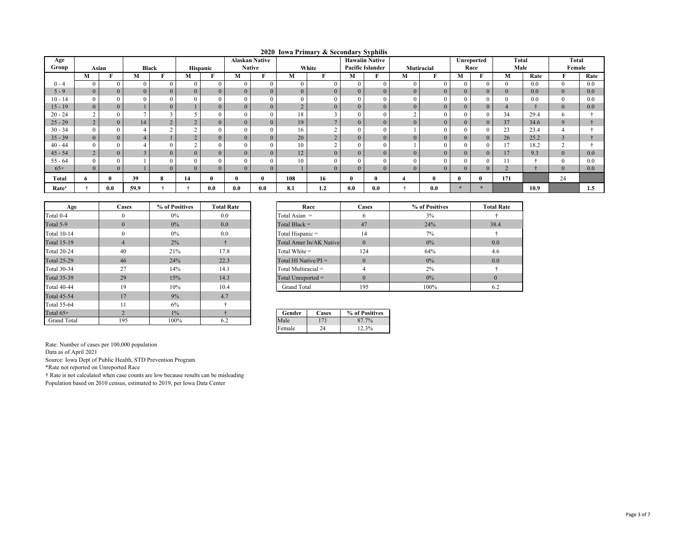|  |  | 2020 Iowa Primary & Secondary Syphilis |  |
|--|--|----------------------------------------|--|
|  |  |                                        |  |

| Age               |                |                |      |              |    |          |                | <b>Alaskan Native</b> |                |                |                | .<br><b>Hawaiin Native</b> |                |                |         | Unreported | Total          |      | Total    |      |
|-------------------|----------------|----------------|------|--------------|----|----------|----------------|-----------------------|----------------|----------------|----------------|----------------------------|----------------|----------------|---------|------------|----------------|------|----------|------|
| Group             | Asian          |                |      | <b>Black</b> |    | Hispanic | <b>Native</b>  |                       |                | White          |                | <b>Pacific Islander</b>    | Mutiracial     |                |         | Race       | Male           |      | Female   |      |
|                   | М              |                | M    |              | М  | F        | М              |                       | М              |                | М              |                            | М              | T.             | М       | m          | M              | Rate |          | Rate |
| $0 - 4$           | $\mathbf{0}$   | $\Omega$       |      | $\Omega$     |    |          | $\theta$       | $\mathbf{0}$          | $\Omega$       | $\Omega$       |                |                            | $\Omega$       | $\theta$       |         |            |                | 0.0  | $\theta$ | 0.0  |
| $5 - 9$           | $\Omega$       | $\Omega$       |      | $\Omega$     |    |          | $\Omega$       | $\overline{0}$        | $\overline{0}$ | $\Omega$       | $\theta$       |                            | $\Omega$       | $\Omega$       |         |            | $\mathbf{U}$   | 0.0  | $\Omega$ | 0.0  |
| $10 - 14$         | $\mathbf{0}$   |                |      |              |    |          | $\theta$       | $\mathbf{0}$          | $\theta$       | $\theta$       |                |                            |                | $\theta$       |         |            | v              | 0.0  | 0        | 0.0  |
| $15 - 19$         | $\overline{0}$ | $\overline{0}$ |      | $\Omega$     |    |          | $\overline{0}$ | $\overline{0}$        | $\overline{2}$ | $\Omega$       | $\mathbf{0}$   | $\Omega$                   | $\overline{0}$ | $\overline{0}$ |         |            | 4              |      | $\Omega$ | 0.0  |
| $20 - 24$         | $\mathcal{L}$  | $\theta$       |      |              |    |          | $\theta$       | $\theta$              | 18             | $\sim$         |                |                            |                | $\theta$       |         |            | 34             | 29.4 | 6.       |      |
| $25 - 29$         | 2              | $\overline{0}$ | 14   |              |    |          | $\overline{0}$ | $\overline{0}$        | 19             | $\overline{ }$ | $\overline{0}$ | $\overline{0}$             | $\overline{0}$ | $\overline{0}$ |         | $\Omega$   | 37             | 34.6 | 9        |      |
| $30 - 34$         | $\theta$       | $\Omega$       |      |              |    |          | $\Omega$       | $\mathbf{0}$          | 16             |                |                |                            |                | $\Omega$       |         |            | 23             | 23.4 |          |      |
| $35 - 39$         | $\theta$       | $\theta$       |      |              |    |          | $\Omega$       | $\overline{0}$        | 20             | $\sim$         | $\Omega$       |                            | $\Omega$       | $\theta$       |         |            | 26             | 25.2 |          |      |
| $40 - 44$         | $\theta$       |                |      |              |    |          |                | $\mathbf{0}$          | 10             | $\sim$         |                |                            |                | $\Omega$       |         |            | 1 <sub>7</sub> | 18.2 | $\sim$   |      |
| $45 - 54$         | $\overline{2}$ |                |      |              |    |          | $\Omega$       | $\overline{0}$        | 12             | $\Omega$       | $\theta$       |                            | $\Omega$       | $\Omega$       |         |            | 17             | 9.3  |          | 0.0  |
| $55 - 64$         | $\theta$       |                |      |              |    |          |                | $\theta$              | 10             | $\theta$       |                |                            |                | $\Omega$       |         |            | 11             |      |          | 0.0  |
| $65+$             | $\mathbf{0}$   | $\overline{0}$ |      | $\Omega$     |    |          | $\overline{0}$ | $\overline{0}$        |                | $\overline{0}$ | $\theta$       |                            | $\Omega$       | $\Omega$       |         |            | ∠              |      | $\Omega$ | 0.0  |
| Total             | Ð              |                | 39   | 8            | 14 |          |                | $\mathbf{u}$          | 108            | 16             | o              | $\mathbf{0}$               |                | $\bf{0}$       |         |            | 171            |      | 24       |      |
| Rate <sup>3</sup> |                | 0.0            | 59.9 |              |    | 0.0      | 0.0            | 0.0                   | 8.1            | 1.2            | 0.0            | 0.0                        |                | 0.0            | $\star$ |            |                | 10.9 |          | 1.5  |

| Age                | <b>Cases</b>   | % of Positives | <b>Total Rate</b> | Race                  | Cases                   |          |                         |  |
|--------------------|----------------|----------------|-------------------|-----------------------|-------------------------|----------|-------------------------|--|
| Total 0-4          | $\Omega$       | $0\%$          | 0.0               | Total Asian $=$       | 6                       |          |                         |  |
| Total 5-9          | $\theta$       | $0\%$          | 0.0               | Total Black $=$       |                         | 47       |                         |  |
| Total 10-14        | $\Omega$       | $0\%$          | 0.0               | Total Hispanic =      |                         | 14       |                         |  |
| <b>Total 15-19</b> | $\overline{4}$ | 2%             | ÷                 |                       | Total Amer In/AK Native | $\Omega$ |                         |  |
| <b>Total 20-24</b> | 40             | 21%            | 17.8              | Total White $=$       |                         | 124      |                         |  |
| <b>Total 25-29</b> | 46             | 24%            | 22.3              |                       |                         |          | Total HI Native/ $PI =$ |  |
| <b>Total 30-34</b> | 27             | 14%            | 14.1              | $Total Multiracial =$ |                         | 4        |                         |  |
| <b>Total 35-39</b> | 29             | 15%            | 14.3              | Total Unreported =    |                         | $\Omega$ |                         |  |
| <b>Total 40-44</b> | 19             | 10%            | 10.4              | <b>Grand Total</b>    |                         | 195      |                         |  |
| <b>Total 45-54</b> | 17             | 9%             | 4.7               |                       |                         |          |                         |  |
| <b>Total 55-64</b> | 11             | 6%             |                   |                       |                         |          |                         |  |
| Total $65+$        | $\overline{2}$ | $1\%$          |                   | Gender                | % of Positives          |          |                         |  |
| <b>Grand Total</b> | 195            | 100%           | 6.2               | Male                  | 87.7%                   |          |                         |  |

| Age   | <b>Cases</b> | % of Positives | <b>Total Rate</b> | Race                    | <b>Cases</b> | % of Positives | <b>Total Rate</b> |
|-------|--------------|----------------|-------------------|-------------------------|--------------|----------------|-------------------|
|       |              | $0\%$          | 0.0               | Total Asian $=$         |              | 3%             |                   |
|       | $\Omega$     | $0\%$          | 0.0               | Total Black $=$         | 47           | 24%            | 38.4              |
| $-14$ |              | 0%             | 0.0               | Total Hispanic =        | 14           | $7\%$          |                   |
| ·19   |              | 2%             |                   | Total Amer In/AK Native | $\Omega$     | $0\%$          | 0.0               |
| $-24$ | 40           | 21%            | 17.8              | Total White $=$         | 124          | 64%            | 4.6               |
| 29    | 46           | 24%            | 22.3              | Total HI Native/ $PI =$ | $\Omega$     | $0\%$          | 0.0               |
| 34    | 27           | 14%            | 14.1              | Total Multiracial =     |              | 2%             |                   |
| 39    | 29           | 15%            | 14.3              | Total Unreported $=$    |              | $0\%$          |                   |
| 44    | 19           | 10%            | 10.4              | <b>Grand Total</b>      | 195          | 100%           | 6.2               |

| Gender | `ases         | % of Positives |  |  |  |
|--------|---------------|----------------|--|--|--|
| ale.   |               | 87.7%          |  |  |  |
| Female | $\mathcal{A}$ | 12.3%          |  |  |  |

Data as of April 2021

Source: Iowa Dept of Public Health, STD Prevention Program

\*Rate not reported on Unreported Race

† Rate is not calculated when case counts are low because results can be misleading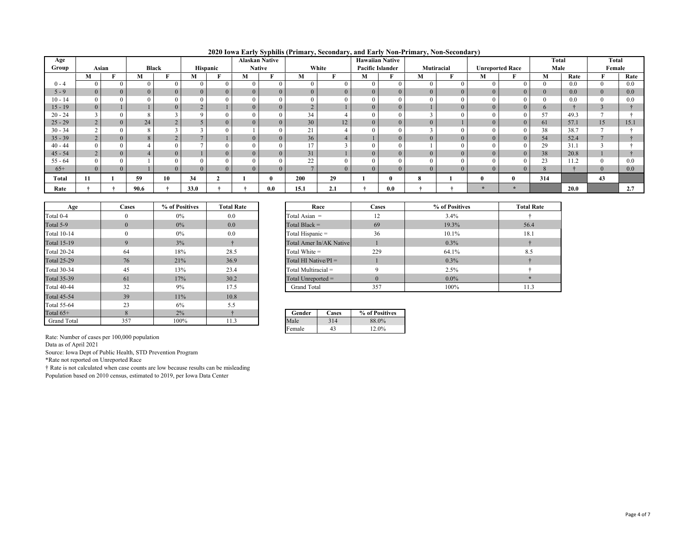| 2020 Iowa Early Syphilis (Primary, Secondary, and Early Non-Primary, Non-Secondary) |  |  |  |  |  |  |  |  |  |  |
|-------------------------------------------------------------------------------------|--|--|--|--|--|--|--|--|--|--|
|-------------------------------------------------------------------------------------|--|--|--|--|--|--|--|--|--|--|

| Age       |                |          |              |                |                 |          |                | <b>Alaskan Native</b> |                 | <u>2020 Town Early Syphins (Frimary, Secondary, and Early Ton Frimary, For Secondary</u> | <b>Hawaiian Native</b>  |                |                |                |                        |          | <b>Total</b> |      | <b>Total</b> |      |
|-----------|----------------|----------|--------------|----------------|-----------------|----------|----------------|-----------------------|-----------------|------------------------------------------------------------------------------------------|-------------------------|----------------|----------------|----------------|------------------------|----------|--------------|------|--------------|------|
| Group     | Asian          |          | <b>Black</b> |                | <b>Hispanic</b> |          | <b>Native</b>  |                       |                 | White                                                                                    | <b>Pacific Islander</b> |                | Mutiracial     |                | <b>Unreported Race</b> |          | Male         |      | Female       |      |
|           | М              |          | М            |                | М               |          | М              |                       | М               |                                                                                          | м                       |                | М              |                | М                      |          | М            | Rate |              | Rate |
| $0 - 4$   | $\mathbf{0}$   |          | $\theta$     | $\Omega$       | $\theta$        |          | $\overline{0}$ |                       |                 |                                                                                          |                         | $\theta$       | $\mathbf{0}$   |                |                        |          | $\theta$     | 0.0  | $\Omega$     | 0.0  |
| $5 - 9$   | $\overline{0}$ | $\Omega$ | $\Omega$     | $\overline{0}$ | $\overline{0}$  | $\theta$ | $\overline{0}$ |                       | $\Omega$        |                                                                                          |                         | $\overline{0}$ | $\overline{0}$ | $\overline{0}$ |                        |          | $\mathbf{0}$ | 0.0  |              | 0.0  |
| $10 - 14$ |                |          |              |                | $\Omega$        |          | $\Omega$       |                       |                 |                                                                                          |                         | $\Omega$       | $\theta$       |                |                        |          |              | 0.0  |              | 0.0  |
| $15 - 19$ | $\overline{0}$ |          |              | $\Omega$       |                 |          | $\overline{0}$ |                       |                 |                                                                                          |                         | $\overline{0}$ |                | $\overline{0}$ |                        |          | 6            |      |              |      |
| $20 - 24$ |                |          |              |                |                 |          | $\Omega$       |                       | 34              |                                                                                          |                         | $\Omega$       |                |                |                        |          | 57           | 49.3 |              |      |
| $25 - 29$ | $\overline{2}$ | $\Omega$ | 24           |                |                 |          | $\Omega$       |                       | 30 <sup>1</sup> | 12                                                                                       |                         | $\overline{0}$ | $\Omega$       |                |                        |          | 61           | 57.1 | 15           | 15.1 |
| $30 - 34$ |                |          |              |                |                 |          |                |                       | 21              |                                                                                          |                         | $\Omega$       |                |                |                        |          | 38           | 38.7 |              |      |
| $35 - 39$ | $\Delta$<br>∠  |          |              |                |                 |          |                |                       | 36              |                                                                                          |                         | $\mathbf{0}$   | $\Omega$       |                |                        |          | 54           | 52.4 |              |      |
| $40 - 44$ |                |          |              |                |                 |          | $\Omega$       |                       |                 |                                                                                          |                         | $\theta$       |                |                |                        |          | 29           | 31.1 |              |      |
| $45 - 54$ | $\overline{2}$ |          |              |                |                 |          | $\Omega$       |                       | 31              |                                                                                          |                         | $\mathbf{0}$   | $\overline{0}$ | $\overline{0}$ |                        |          | 38           | 20.8 |              |      |
| $55 - 64$ |                |          |              |                |                 |          |                |                       | $\mathcal{L}$   |                                                                                          |                         |                | $\Omega$       |                |                        |          | 23           | 11.2 |              | 0.0  |
| $65+$     | $\overline{0}$ |          |              |                | $\Omega$        |          | $\Omega$       |                       |                 |                                                                                          |                         |                | $\Omega$       |                |                        |          | 8            |      |              | 0.0  |
| Total     | 11             |          | 59           | 10             | 34              |          |                |                       | 200             | 29                                                                                       |                         | 0              |                |                |                        | $\bf{0}$ | 314          |      | 43           |      |
| Rate      |                |          | 90.6         |                | 33.0            |          |                | 0.0                   | 15.1            | 2.1                                                                                      |                         | $0.0\,$        |                |                |                        |          |              | 20.0 |              | 2.7  |

| Age                | Cases    | % of Positives | <b>Total Rate</b> |                       | Race                    | Cases          |
|--------------------|----------|----------------|-------------------|-----------------------|-------------------------|----------------|
| Total 0-4          | $\Omega$ | 0%             | 0.0               | Total Asian $=$       | 12                      |                |
| Total 5-9          | $\Omega$ | $0\%$          | 0.0               | Total Black $=$       |                         | 69             |
| <b>Total 10-14</b> | $\theta$ | $0\%$          | 0.0               | Total Hispanic =      |                         | 36             |
| <b>Total 15-19</b> | 9        | 3%             | ÷                 |                       | Total Amer In/AK Native |                |
| <b>Total 20-24</b> | 64       | 18%            | 28.5              | Total White $=$       |                         | 229            |
| <b>Total 25-29</b> | 76       | 21%            | 36.9              |                       | Total HI Native/ $PI =$ |                |
| <b>Total 30-34</b> | 45       | 13%            | 23.4              | Total Multiracial $=$ |                         | 9              |
| <b>Total 35-39</b> | 61       | 17%            | 30.2              | Total Unreported $=$  |                         | $\Omega$       |
| <b>Total 40-44</b> | 32       | 9%             | 17.5              | <b>Grand Total</b>    |                         | 357            |
| <b>Total 45-54</b> | 39       | 11%            | 10.8              |                       |                         |                |
| Total 55-64        | 23       | 6%             | 5.5               |                       |                         |                |
| Total $65+$        | 8        | 2%             |                   | Gender                | Cases                   | % of Positives |
| <b>Grand Total</b> | 357      | 100%           | 11.3              | Male                  | 314                     | 88.0%          |

| Age | <b>Cases</b> | % of Positives | <b>Total Rate</b> | Race                    | <b>Cases</b> | % of Positives | <b>Total Rate</b> |
|-----|--------------|----------------|-------------------|-------------------------|--------------|----------------|-------------------|
|     |              | 0%             | 0.0               | Total Asian $=$         | 12           | 3.4%           |                   |
|     | $\Omega$     | 0%             | 0.0               | Total Black $=$         | 69           | 19.3%          | 56.4              |
| 14  |              | 0%             | 0.0               | Total Hispanic =        | 36           | $10.1\%$       | 18.1              |
| 19  |              | 3%             |                   | Total Amer In/AK Native |              | $0.3\%$        |                   |
| 24  | 64           | 18%            | 28.5              | Total White $=$         | 229          | 64.1%          | 8.5               |
| 29  | 76           | 21%            | 36.9              | Total HI Native/ $PI =$ |              | $0.3\%$        |                   |
| 34  | 45           | 13%            | 23.4              | Total Multiracial $=$   |              | 2.5%           |                   |
| 39  | 61           | 17%            | 30.2              | Total Unreported $=$    |              | $0.0\%$        |                   |
| 44  | 32           | 9%             | 17.5              | <b>Grand Total</b>      | 357          | 100%           | 11.3              |

| Gender | 'ases | % of Positives |
|--------|-------|----------------|
| ·le    | 14    | 88.0%          |
| Female |       | 12.0%          |

Data as of April 2021

Source: Iowa Dept of Public Health, STD Prevention Program

\*Rate not reported on Unreported Race

† Rate is not calculated when case counts are low because results can be misleading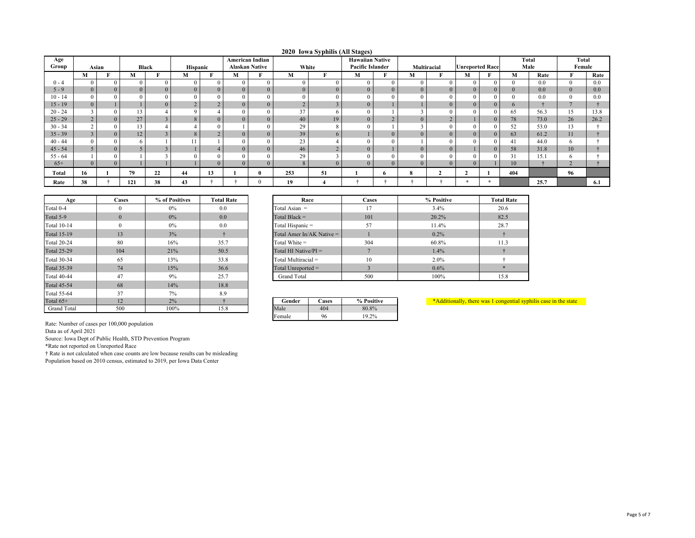|  |  | 2020 Iowa Syphilis (All Stages) |
|--|--|---------------------------------|
|--|--|---------------------------------|

| Age       |                |                |                |                |                 |          |                | American Indian       |                |    | $2020$ to $m_{\nu}$ panno (1 m outges)<br><b>Hawaiian Native</b> |                |              |                        |          |              | <b>Total</b> | Total      |         |
|-----------|----------------|----------------|----------------|----------------|-----------------|----------|----------------|-----------------------|----------------|----|------------------------------------------------------------------|----------------|--------------|------------------------|----------|--------------|--------------|------------|---------|
| Group     | Asian          |                | Black          |                | <b>Hispanic</b> |          |                | <b>Alaskan Native</b> | White          |    | Pacific Islander                                                 |                | Multiracial  | <b>Unreported Race</b> |          |              | Male         | Female     |         |
|           | M              |                | М              |                | М               | T.<br>н. | M              |                       | M              | F  | M                                                                |                | М            | M                      |          | М            | Rate         |            | Rate    |
| $0 - 4$   | $\mathbf{0}$   | $\Omega$       | $\theta$       | $\Omega$       |                 |          | $\mathbf{0}$   |                       | $\theta$       |    |                                                                  | $\theta$       | $\theta$     |                        |          | $\Omega$     | 0.0          |            | 0.0     |
| $5 - 9$   | $\overline{0}$ | $\overline{0}$ | $\overline{0}$ | $\overline{0}$ | $\Omega$        | $\Omega$ | $\mathbf{0}$   | $\Omega$              | $\overline{0}$ |    |                                                                  | $\overline{0}$ | $\mathbf{0}$ |                        | $\theta$ | $\mathbf{0}$ | 0.0          | $\Omega$   | $0.0\,$ |
| $10 - 14$ | $\overline{0}$ |                |                |                |                 |          |                |                       | $\Omega$       |    |                                                                  |                | $\Omega$     |                        |          | $\mathbf{0}$ | 0.0          |            | 0.0     |
| $15 - 19$ | $\overline{0}$ |                |                | $\overline{0}$ |                 |          | $\mathbf{0}$   | $\overline{0}$        | $\overline{2}$ |    |                                                                  |                |              |                        | $\theta$ | 6            |              |            |         |
| $20 - 24$ | 3              | $\Omega$       | 13             |                |                 |          | $\Omega$       |                       | 37             |    |                                                                  |                |              |                        |          | 65           | 56.3         | 15         | 13.8    |
| $25 - 29$ | $\overline{2}$ | $\Omega$       | 27             |                |                 |          | $\Omega$       |                       | 40             | 19 |                                                                  |                | $\theta$     |                        | $\Omega$ | 78           | 73.0         | 26         | 26.2    |
| $30 - 34$ | $\sim$         |                | 13             |                |                 |          |                |                       | 29             |    |                                                                  |                |              |                        |          | 52           | 53.0         | 13         |         |
| $35 - 39$ | $\overline{3}$ | $\overline{0}$ | 12             |                |                 |          | $\Omega$       |                       | 39             |    |                                                                  | $\mathbf{0}$   | $\Omega$     |                        |          | 63           | 61.2         | 11         |         |
| $40 - 44$ | $\Omega$       |                | h.             |                |                 |          |                |                       | 23             |    |                                                                  |                |              |                        |          | 41           | 44.0         | 6          |         |
| $45 - 54$ | 5 <sup>5</sup> | $\overline{0}$ |                |                |                 |          | $\overline{0}$ |                       | 46             |    |                                                                  |                | $\mathbf{0}$ |                        | $\Omega$ | 58           | 31.8         | 10         |         |
| $55 - 64$ |                |                |                |                |                 |          |                |                       | 29             |    |                                                                  |                |              |                        |          | 31           | 15.1         |            |         |
| $65+$     | $\Omega$       | $\Omega$       |                |                |                 |          | $\Omega$       |                       |                |    |                                                                  |                |              |                        |          | 10           |              | $\sqrt{2}$ |         |
| Total     | 16             |                | 79             | 22             | 44              | 13       |                |                       | 253            | 51 |                                                                  | 6              | 8            |                        |          | 404          |              | 96         |         |
| Rate      | 38             |                | 121            | 38             | 43              |          |                |                       | 19             |    |                                                                  |                |              | $\star$                |          |              | 25.7         |            | 6.1     |

| Age                | Cases    | % of Positives | <b>Total Rate</b> |
|--------------------|----------|----------------|-------------------|
| Total 0-4          | $\Omega$ | $0\%$          | 0.0               |
| Total 5-9          | $\Omega$ | $0\%$          | 0.0               |
| <b>Total 10-14</b> | $\theta$ | $0\%$          | 0.0               |
| <b>Total 15-19</b> | 13       | 3%             | ÷                 |
| <b>Total 20-24</b> | 80       | 16%            | 35.7              |
| <b>Total 25-29</b> | 104      | 21%            | 50.5              |
| <b>Total 30-34</b> | 65       | 13%            | 33.8              |
| <b>Total 35-39</b> | 74       | 15%            | 36.6              |
| <b>Total 40-44</b> | 47       | 9%             | 25.7              |
| <b>Total 45-54</b> | 68       | 14%            | 18.8              |
| Total 55-64        | 37       | 7%             | 8.9               |
| Total $65+$        | 12       | 2%             | ÷                 |
| <b>Grand Total</b> | 500      | 100%           | 15.8              |

| <b>Cases</b> | % of Positives | <b>Total Rate</b> | Race                        | <b>Cases</b> | % Positive |
|--------------|----------------|-------------------|-----------------------------|--------------|------------|
| $\mathbf{0}$ | $0\%$          | 0.0               | Total Asian $=$             | 17           | 3.4%       |
| $\mathbf{0}$ | $0\%$          | 0.0               | Total Black $=$             | 101          | 20.2%      |
| $\theta$     | $0\%$          | 0.0               | Total Hispanic =            | 57           | 11.4%      |
| 13           | 3%             |                   | Total Amer In/AK Native $=$ |              | $0.2\%$    |
| 80           | 16%            | 35.7              | Total White $=$             | 304          | 60.8%      |
| 104          | 21%            | 50.5              | Total HI Native/ $PI =$     |              | 1.4%       |
| 65           | 13%            | 33.8              | Total Multiracial =         | 10           | $2.0\%$    |
| 74           | 15%            | 36.6              | Total Unreported $=$        |              | $0.6\%$    |
| 47           | 9%             | 25.7              | <b>Grand Total</b>          | 500          | 100%       |
|              |                |                   |                             |              |            |

| $\frac{0}{0}$ |            | Gender | Cases | % Positive |
|---------------|------------|--------|-------|------------|
| $0\%$         | 50<br>19.0 | Male   | 404   | 80.8%      |
|               |            | Female | 96    | 19.2%      |

\*Additionally, there was <sup>1</sup> congential syphilis case in the state

Rate: Number of cases per 100,000 population

Data as of April 2021

Source: Iowa Dept of Public Health, STD Prevention Program

\*Rate not reported on Unreported Race

† Rate is not calculated when case counts are low because results can be misleading Population based on 2010 census, estimated to 2019, per Iowa Data Center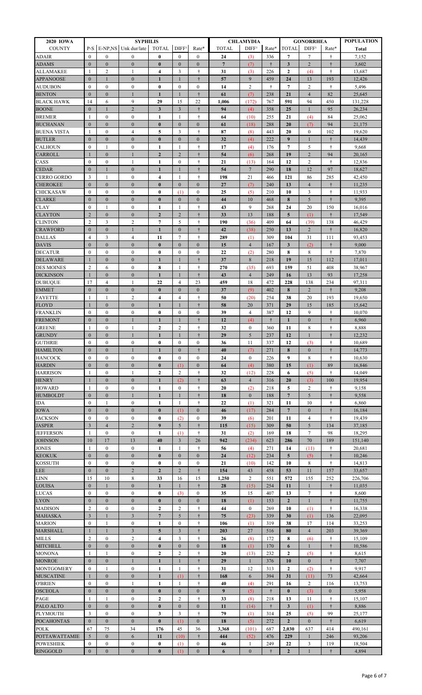| 2020 IOWA                            | <b>SYPHILIS</b>                         |                                  |                                      |                                     |                                         |                           | <b>CHLAMYDIA</b> |                      | <b>GONORRHEA</b> | <b>POPULATION</b>       |                     |                     |                   |
|--------------------------------------|-----------------------------------------|----------------------------------|--------------------------------------|-------------------------------------|-----------------------------------------|---------------------------|------------------|----------------------|------------------|-------------------------|---------------------|---------------------|-------------------|
| <b>COUNTY</b>                        | P-S                                     |                                  | E-NP, NS Unk dur/late                | <b>TOTAL</b>                        | DIFF <sup>1</sup>                       | Rate*                     | <b>TOTAL</b>     | DIFF <sup>1</sup>    | Rate*            | <b>TOTAL</b>            | DIFF <sup>1</sup>   | Rate*               | <b>Total</b>      |
| ADAIR                                | $\theta$                                | $\mathbf{0}$                     | $\mathbf{0}$                         | $\bf{0}$                            | $\Omega$                                | $\mathbf{0}$              | 24               | (3)                  | 336              | 7                       | 7                   | Ť                   | 7,152             |
| <b>ADAMS</b>                         | $\mathbf{0}$                            | $\boldsymbol{0}$                 | $\boldsymbol{0}$                     | $\bf{0}$                            | $\mathbf{0}$                            | $\mathbf{0}$              | $\overline{7}$   | (7)                  | $\ddagger$       | 3                       | $\overline{2}$      | $\ddagger$          | 3,602             |
| <b>ALLAMAKEE</b><br><b>APPANOOSE</b> | $\mathbf{1}$<br>$\mathbf{0}$            | $\overline{2}$<br>-1             | $\mathbf{1}$<br>$\mathbf{0}$         | $\overline{\bf 4}$<br>$\mathbf{1}$  | 3<br>$\mathbf{1}$                       | ÷<br>$\ddot{\dagger}$     | 31<br>57         | (3)<br>9             | 226<br>459       | $\mathbf{2}$<br>24      | (4)<br>13           | ŧ<br>193            | 13,687<br>12,426  |
| <b>AUDUBON</b>                       | $\mathbf{0}$                            | $\mathbf{0}$                     | $\bf{0}$                             | $\bf{0}$                            | $\mathbf{0}$                            | $\boldsymbol{0}$          | 14               | $\boldsymbol{2}$     | ŧ                | $\overline{7}$          | $\overline{c}$      | Ť                   | 5,496             |
| <b>BENTON</b>                        | $\mathbf{0}$                            | $\boldsymbol{0}$                 | $\mathbf{1}$                         | $\mathbf{1}$                        | $\mathbf{1}$                            | $\ddagger$                | 61               | (7)                  | 238              | 21                      | $\overline{4}$      | 82                  | 25,645            |
| <b>BLACK HAWK</b>                    | 14                                      | 6                                | 9                                    | 29                                  | 15                                      | 22                        | 1,006            | (172)                | 767              | 591                     | 94                  | 450                 | 131,228           |
| <b>BOONE</b>                         | $\mathbf{0}$                            | 1                                | $\overline{2}$                       | 3                                   | 3                                       | $\dagger$                 | 94               | (4)                  | 358              | 25                      | 1                   | 95                  | 26,234            |
| <b>BREMER</b>                        | -1                                      | $\boldsymbol{0}$                 | $\boldsymbol{0}$                     | 1                                   | 1                                       | $\dagger$                 | 64               | (10)                 | 255              | 21                      | (4)                 | 84                  | 25,062            |
| <b>BUCHANAN</b>                      | $\mathbf{0}$                            | $\mathbf{0}$                     | $\mathbf{0}$                         | $\bf{0}$                            | $\mathbf{0}$                            | $\boldsymbol{0}$          | 61               | (18)                 | 288              | 20                      | (7)                 | 94                  | 21,175            |
| <b>BUENA VISTA</b>                   | 1                                       | $\mathbf{0}$                     | 4                                    | 5                                   | 3                                       | $\ddagger$                | 87               | (8)                  | 443              | 20                      | $\mathbf{0}$        | 102                 | 19,620            |
| <b>BUTLER</b><br>CALHOUN             | $\mathbf{0}$<br>$\mathbf{0}$            | $\boldsymbol{0}$<br>1            | $\boldsymbol{0}$<br>$\boldsymbol{0}$ | $\bf{0}$<br>1                       | $\mathbf{0}$<br>1                       | $\boldsymbol{0}$<br>Ť     | 32<br>17         | (4)<br>(4)           | 222<br>176       | 9<br>7                  | 1<br>5              | $\dagger$<br>Ť      | 14,439<br>9,668   |
| CARROLL                              | $\mathbf{1}$                            | $\mathbf{0}$                     | $\mathbf{1}$                         | $\mathbf{2}$                        | $\overline{2}$                          | $\ddagger$                | 54               | (6)                  | 268              | 19                      | $\overline{2}$      | 94                  | 20,165            |
| CASS                                 | $\mathbf{0}$                            | $\mathbf{0}$                     | 1                                    | $\mathbf{1}$                        | $\mathbf{0}$                            | $\dagger$                 | 21               | (13)                 | 164              | 12                      | $\overline{c}$      | $\ddagger$          | 12,836            |
| <b>CEDAR</b>                         | $\mathbf{0}$                            | $\mathbf{1}$                     | $\mathbf{0}$                         | $\mathbf{1}$                        | $\mathbf{1}$                            | $\dagger$                 | 54               | $7\phantom{.0}$      | 290              | 18                      | 12                  | 97                  | 18,627            |
| <b>CERRO GORDO</b>                   | $\overline{\mathbf{3}}$                 | 1                                | $\boldsymbol{0}$                     | 4                                   | 1                                       | t                         | 198              | 21                   | 466              | 121                     | 86                  | 285                 | 42,450            |
| <b>CHEROKEE</b>                      | $\mathbf{0}$                            | $\mathbf{0}$                     | $\mathbf{0}$                         | $\bf{0}$                            | $\mathbf{0}$                            | $\mathbf{0}$              | 27               | (7)                  | 240              | 13                      | $\overline{4}$      | $\dagger$           | 11,235            |
| <b>CHICKASAW</b>                     | $\mathbf{0}$                            | $\mathbf{0}$                     | $\mathbf{0}$                         | $\bf{0}$                            | (1)                                     | $\mathbf{0}$              | 25               | (5)                  | 210              | 10                      | 3                   | ÷                   | 11,933            |
| <b>CLARKE</b>                        | $\mathbf{0}$                            | $\boldsymbol{0}$                 | $\mathbf{0}$                         | $\bf{0}$                            | $\mathbf{0}$                            | $\boldsymbol{0}$          | 44               | 10                   | 468              | 8                       | 5                   | $\dagger$           | 9,395             |
| <b>CLAY</b><br><b>CLAYTON</b>        | $\mathbf{0}$<br>$\overline{2}$          | -1<br>$\boldsymbol{0}$           | $\boldsymbol{0}$<br>$\mathbf{0}$     | 1<br>$\mathbf{2}$                   | 1<br>$\overline{2}$                     | $\dagger$<br>$\ddagger$   | 43<br>33         | 9<br>13              | 268<br>188       | 24<br>5                 | 20<br>(1)           | 150<br>$\dagger$    | 16,016<br>17,549  |
| <b>CLINTON</b>                       | $\overline{2}$                          | 3                                | $\boldsymbol{2}$                     | 7                                   | 5                                       | Ť                         | 190              | (36)                 | 409              | 64                      | (39)                | 138                 | 46,429            |
| <b>CRAWFORD</b>                      | $\mathbf{0}$                            | $\mathbf{0}$                     | $\mathbf{1}$                         | $\mathbf{1}$                        | $\mathbf{0}$                            | $\ddagger$                | 42               | (38)                 | 250              | 13                      | $\overline{2}$      | $\dagger$           | 16,820            |
| <b>DALLAS</b>                        | $\overline{4}$                          | 3                                | $\overline{4}$                       | 11                                  | $\tau$                                  | $\ddot{\tau}$             | 289              | (1)                  | 309              | 104                     | 31                  | 111                 | 93,453            |
| <b>DAVIS</b>                         | $\mathbf{0}$                            | $\boldsymbol{0}$                 | $\boldsymbol{0}$                     | $\bf{0}$                            | $\boldsymbol{0}$                        | $\boldsymbol{0}$          | 15               | $\overline{4}$       | 167              | $\mathbf{3}$            | (2)                 | $\dagger$           | 9,000             |
| <b>DECATUR</b>                       | $\mathbf{0}$                            | $\boldsymbol{0}$                 | $\boldsymbol{0}$                     | $\bf{0}$                            | $\mathbf{0}$                            | $\boldsymbol{0}$          | 22               | (2)                  | 280              | 8                       | 8                   | Ť                   | 7,870             |
| <b>DELAWARE</b>                      | $\mathbf{1}$                            | $\mathbf{0}$                     | $\mathbf{0}$                         | $\mathbf{1}$                        | $\mathbf{1}$                            | $\dagger$                 | 37               | $\,8\,$              | 218              | 19                      | 15                  | 112                 | 17,011            |
| <b>DES MOINES</b>                    | $\overline{c}$                          | 6                                | $\boldsymbol{0}$                     | 8                                   | 1                                       | ÷                         | 270              | (35)                 | 693              | 159                     | 51                  | 408                 | 38,967            |
| <b>DICKINSON</b><br><b>DUBUQUE</b>   | 1<br>17                                 | $\mathbf{0}$<br>$\overline{4}$   | $\boldsymbol{0}$<br>1                | $\mathbf{1}$<br>22                  | 1<br>$\overline{4}$                     | $\dagger$<br>23           | 43<br>459        | $\overline{4}$<br>18 | 249<br>472       | 16<br>228               | 13<br>138           | 93<br>234           | 17,258<br>97,311  |
| <b>EMMET</b>                         | $\mathbf{0}$                            | $\mathbf{0}$                     | $\mathbf{0}$                         | $\bf{0}$                            | $\mathbf{0}$                            | $\mathbf{0}$              | 37               | (9)                  | 402              | 8                       | $\overline{2}$      | $\ddagger$          | 9,208             |
| <b>FAYETTE</b>                       | 1                                       | 1                                | $\overline{c}$                       | 4                                   | $\overline{4}$                          | $\dagger$                 | 50               | (20)                 | 254              | 38                      | 20                  | 193                 | 19,650            |
| FLOYD                                | $\mathbf{1}$                            | $\boldsymbol{0}$                 | $\mathbf{0}$                         | $\mathbf{1}$                        | $\mathbf{1}$                            | $\dagger$                 | 58               | 20                   | 371              | 29                      | 15                  | 185                 | 15,642            |
| <b>FRANKLIN</b>                      | $\mathbf{0}$                            | $\mathbf{0}$                     | $\bf{0}$                             | $\bf{0}$                            | $\mathbf{0}$                            | $\boldsymbol{0}$          | 39               | $\overline{4}$       | 387              | 12                      | 9                   | ÷                   | 10,070            |
| <b>FREMONT</b>                       | $\mathbf{0}$                            | $\boldsymbol{0}$                 | $\mathbf{1}$                         | $\mathbf{1}$                        | $\mathbf{1}$                            | $\dagger$                 | 12               | (4)                  | $\ddot{\dagger}$ | $\mathbf{1}$            | $\mathbf{0}$        | $\ddagger$          | 6,960             |
| <b>GREENE</b>                        | 1                                       | $\boldsymbol{0}$                 | 1                                    | $\boldsymbol{2}$                    | $\overline{2}$                          | Ť                         | 32               | $\boldsymbol{0}$     | 360              | 11                      | 8                   | Ť                   | 8,888             |
| <b>GRUNDY</b>                        | $\mathbf{0}$<br>$\mathbf{0}$            | $\boldsymbol{0}$<br>$\mathbf{0}$ | $\mathbf{1}$<br>$\mathbf{0}$         | $\mathbf{1}$<br>$\bf{0}$            | $\mathbf{1}$<br>$\mathbf{0}$            | $\dagger$<br>$\mathbf{0}$ | 29<br>36         | 5<br>11              | 237<br>337       | 12                      | $\mathbf{1}$        | $\dagger$<br>÷      | 12,232<br>10,689  |
| <b>GUTHRIE</b><br><b>HAMILTON</b>    | $\mathbf{0}$                            | $\boldsymbol{0}$                 | 1                                    | $\mathbf{1}$                        | $\mathbf{0}$                            | ÷                         | 40               | (7)                  | 271              | 12<br>8                 | (3)<br>$\mathbf{0}$ | $\dagger$           | 14,773            |
| <b>HANCOCK</b>                       | $\mathbf{0}$                            | $\boldsymbol{0}$                 | $\overline{0}$                       | $\bf{0}$                            | $\mathbf{0}$                            | $\mathbf{0}$              | 24               | $\mathbf{0}$         | 226              | 9                       | 8                   | t                   | 10,630            |
| <b>HARDIN</b>                        | $\mathbf{0}$                            | $\boldsymbol{0}$                 | $\mathbf{0}$                         | $\bf{0}$                            | (1)                                     | $\boldsymbol{0}$          | 64               | (4)                  | 380              | 15                      | (1)                 | 89                  | 16,846            |
| <b>HARRISON</b>                      | 1                                       | $\mathbf{0}$                     | 1                                    | $\mathbf{2}$                        | $\overline{c}$                          | Ť                         | 32               | (12)                 | 228              | 6                       | (5)                 | $\dagger$           | 14,049            |
| <b>HENRY</b>                         | 1                                       | $\mathbf{0}$                     | $\mathbf{0}$                         | $\mathbf{1}$                        | (2)                                     | ÷                         | 63               | 4                    | 316              | <b>20</b>               | (3)                 | 100                 | 19,954            |
| HOWARD                               | 1                                       | $\mathbf{0}$                     | $\boldsymbol{0}$                     | 1                                   | $\mathbf{0}$                            | t                         | 20               | (2)                  | 218              | 5                       | 2                   | t                   | 9,158             |
| <b>HUMBOLDT</b>                      | $\mathbf{0}$                            | $\mathbf{0}$                     | $\mathbf{1}$                         | $\mathbf{1}$                        | 1                                       | $\ddagger$                | 18               | $\mathbf{0}$         | 188              | $7\phantom{.0}$         | 5                   | ÷                   | 9,558             |
| <b>IDA</b><br><b>IOWA</b>            | $\mathbf{0}$<br>$\mathbf{0}$            | 1<br>$\boldsymbol{0}$            | $\mathbf{0}$<br>$\mathbf{0}$         | 1<br>$\bf{0}$                       | 1<br>(1)                                | ÷<br>$\boldsymbol{0}$     | 22<br>46         | (1)                  | 321<br>284       | 11<br>$7\phantom{.0}$   | 10<br>$\mathbf{0}$  | ÷<br>$\dagger$      | 6,860<br>16,184   |
| <b>JACKSON</b>                       | $\mathbf{0}$                            | $\mathbf{0}$                     | $\boldsymbol{0}$                     | $\bf{0}$                            | (2)                                     | $\bf{0}$                  | 39               | (17)<br>(6)          | 201              | 11                      | 4                   | ÷                   | 19,439            |
| <b>JASPER</b>                        | $\overline{3}$                          | $\overline{4}$                   | $\overline{2}$                       | 9                                   | 5                                       | ÷                         | 115              | (15)                 | 309              | 50                      | 5                   | 134                 | 37,185            |
| <b>JEFFERSON</b>                     | -1                                      | $\mathbf{0}$                     | $\boldsymbol{0}$                     | 1                                   | (1)                                     | Ť                         | 31               | (2)                  | 169              | 18                      | 7                   | 98                  | 18,295            |
| <b>JOHNSON</b>                       | 10                                      | 17                               | 13                                   | 40                                  | 3                                       | 26                        | 942              | (234)                | 623              | 286                     | 70                  | 189                 | 151,140           |
| <b>JONES</b>                         | $\mathbf{1}$                            | $\mathbf{0}$                     | $\boldsymbol{0}$                     | 1                                   | 1                                       | ÷                         | 56               | (4)                  | 271              | 14                      | (11)                | ÷                   | 20,681            |
| <b>KEOKUK</b>                        | $\mathbf{0}$                            | $\mathbf{0}$                     | $\mathbf{0}$                         | $\bf{0}$                            | $\mathbf{0}$                            | $\mathbf{0}$              | 24               | (12)                 | 234              | $\overline{\mathbf{5}}$ | (5)                 | $\dagger$           | 10,246            |
| <b>KOSSUTH</b>                       | $\mathbf{0}$                            | $\mathbf{0}$                     | $\bf{0}$                             | $\bf{0}$                            | $\mathbf{0}$                            | $\mathbf{0}$              | 21               | (10)                 | 142              | 10                      | 8                   | Ť                   | 14,813            |
| LEE<br>LINN                          | $\mathbf{0}$<br>15                      | $\boldsymbol{0}$<br>10           | $\overline{c}$<br>8                  | $\overline{2}$<br>33                | $\overline{2}$<br>16                    | $\ddagger$<br>15          | 154<br>1,250     | 43<br>2              | 458<br>551       | 53<br>572               | 11<br>155           | 157<br>252          | 33,657<br>226,706 |
| LOUISA                               | $\mathbf{0}$                            | 1                                | $\mathbf{0}$                         | $\mathbf{1}$                        | 1                                       | ÷                         | 28               | (15)                 | 254              | 11                      | 1                   | ÷                   | 11,035            |
| <b>LUCAS</b>                         | $\mathbf{0}$                            | $\mathbf{0}$                     | $\mathbf{0}$                         | $\bf{0}$                            | (3)                                     | $\mathbf{0}$              | 35               | 15                   | 407              | 13                      | $\tau$              | Ť                   | 8,600             |
| <b>LYON</b>                          | $\mathbf{0}$                            | $\mathbf{0}$                     | $\mathbf{0}$                         | $\bf{0}$                            | $\mathbf{0}$                            | $\mathbf{0}$              | 18               | (1)                  | 153              | $\mathbf{2}$            | $\mathbf{1}$        | $\ddot{\tau}$       | 11,755            |
| MADISON                              | $\overline{2}$                          | $\mathbf{0}$                     | $\bf{0}$                             | $\boldsymbol{2}$                    | $\overline{2}$                          | $\ddagger$                | 44               | $\boldsymbol{0}$     | 269              | 10                      | (1)                 | ÷                   | 16,338            |
| MAHASKA                              | $\overline{3}$                          | 1                                | $\mathfrak{Z}$                       | $\overline{7}$                      | 5                                       | ÷                         | 75               | (23)                 | 339              | 30                      | (1)                 | 136                 | 22,095            |
| <b>MARION</b>                        | $\mathbf{0}$                            | 1                                | $\boldsymbol{0}$                     | 1                                   | $\mathbf{0}$                            | Ť                         | 106              | (1)                  | 319              | 38                      | 17                  | 114                 | 33,253            |
| <b>MARSHALL</b>                      | $\mathbf{1}$                            | $\mathbf{1}$                     | 3                                    | $5\phantom{.0}$                     | $\overline{3}$                          | $\dagger$                 | 203              | 27                   | 516              | 80                      | $\overline{4}$      | 203                 | 39,369            |
| <b>MILLS</b><br><b>MITCHELL</b>      | 2<br>$\mathbf{0}$                       | $\mathbf{0}$<br>$\boldsymbol{0}$ | $\overline{2}$<br>$\mathbf{0}$       | $\overline{\mathbf{4}}$<br>$\bf{0}$ | $\overline{\mathbf{3}}$<br>$\mathbf{0}$ | ÷<br>$\mathbf{0}$         | 26<br>18         | (8)<br>(1)           | 172<br>170       | 8<br>6                  | (6)<br>$\mathbf{1}$ | Ť<br>÷              | 15,109<br>10,586  |
| <b>MONONA</b>                        | 1                                       | 1                                | $\bf{0}$                             | $\mathbf{2}$                        | $\overline{2}$                          | t                         | 20               | (13)                 | 232              | 2                       | (5)                 | ÷                   | 8,615             |
| <b>MONROE</b>                        | $\mathbf{0}$                            | $\mathbf{0}$                     | $\mathbf{1}$                         | 1                                   | $\mathbf{1}$                            | ÷                         | 29               | 1                    | 376              | 10                      | $\overline{0}$      | ÷                   | 7,707             |
| <b>MONTGOMERY</b>                    | $\mathbf{0}$                            | 1                                | $\mathbf{0}$                         | 1                                   | 1                                       | Ť                         | 31               | 12                   | 313              | $\mathbf{2}$            | (2)                 | Ť                   | 9,917             |
| MUSCATINE                            | 1                                       | $\mathbf{0}$                     | $\mathbf{0}$                         | $\mathbf{1}$                        | (1)                                     | $\dagger$                 | 168              | 6                    | 394              | 31                      | (11)                | 73                  | 42,664            |
| <b>O'BRIEN</b>                       | $\mathbf{0}$                            | $\mathbf{0}$                     | 1                                    | 1                                   | 1                                       | ÷                         | 40               | (4)                  | 291              | 16                      | $\overline{c}$      | 116                 | 13,753            |
| <b>OSCEOLA</b>                       | $\mathbf{0}$                            | $\boldsymbol{0}$                 | $\mathbf{0}$                         | $\bf{0}$                            | $\mathbf{0}$                            | $\boldsymbol{0}$          | 9                | (5)                  | ÷                | $\bf{0}$                | (3)                 | $\boldsymbol{0}$    | 5,958             |
| PAGE                                 | -1                                      | 1                                | $\bf{0}$                             | $\boldsymbol{2}$                    | 2                                       | Ť                         | 33               | (8)                  | 218              | 13                      | 11                  | Ť                   | 15,107            |
| PALO ALTO                            | $\mathbf{0}$                            | $\mathbf{0}$                     | $\mathbf{0}$                         | $\bf{0}$                            | $\mathbf{0}$                            | $\mathbf{0}$              | 11               | (14)                 | $\ddot{\tau}$    | $\mathbf{3}$            | (1)                 | ÷                   | 8,886             |
| PLYMOUTH<br><b>POCAHONTAS</b>        | $\overline{\mathbf{3}}$<br>$\mathbf{0}$ | $\mathbf{0}$<br>$\boldsymbol{0}$ | $\mathbf{0}$<br>$\mathbf{0}$         | 3<br>$\bf{0}$                       | 3                                       | ÷<br>$\mathbf{0}$         | 79               | (1)                  | 314              | 25<br>$\mathbf{2}$      | (5)<br>$\mathbf{0}$ | 99<br>$\ddot{\tau}$ | 25,177            |
| <b>POLK</b>                          | 67                                      | 75                               | 34                                   | 176                                 | (1)<br>45                               | 36                        | 18<br>3,368      | (5)<br>(101)         | 272<br>687       | 2,030                   | 637                 | 414                 | 6,619<br>490,161  |
| <b>POTTAWATTAMIE</b>                 | 5                                       | $\boldsymbol{0}$                 | 6                                    | 11                                  | (10)                                    | ÷                         | 444              | (52)                 | 476              | 229                     | $\mathbf{1}$        | 246                 | 93,206            |
| <b>POWESHIEK</b>                     | $\mathbf{0}$                            | $\mathbf{0}$                     | $\boldsymbol{0}$                     | $\bf{0}$                            | (1)                                     | $\boldsymbol{0}$          | 46               | 1                    | 249              | 22                      | 3                   | 119                 | 18,504            |
| <b>RINGGOLD</b>                      | $\mathbf{0}$                            | $\boldsymbol{0}$                 | $\boldsymbol{0}$                     | $\bf{0}$                            | (1)                                     | $\mathbf{0}$              | 6                | $\mathbf{0}$         | ÷                | $\overline{2}$          | $\mathbf{1}$        | ŧ                   | 4,894             |